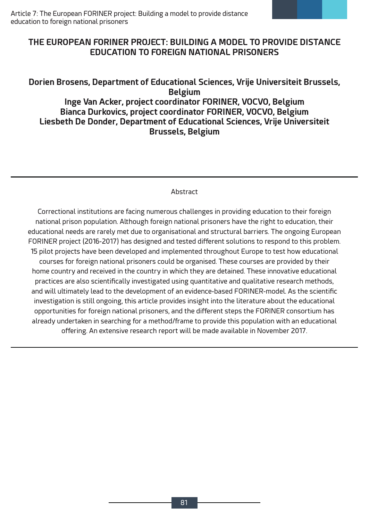# THE EUROPEAN FORINER PROJECT: BUILDING A MODEL TO PROVIDE DISTANCE **EDUCATION TO FORFIGN NATIONAL PRISONFRS**

# Dorien Brosens, Department of Educational Sciences, Vrije Universiteit Brussels, **Belgium Inge Van Acker, project coordinator FORINER, VOCVO, Belgium** Bianca Durkovics, project coordinator FORINER, VOCVO, Belgium **Liesbeth De Donder, Department of Educational Sciences, Vrije Universiteit Brussels, Belgium**

### Abstract

Correctional institutions are facing numerous challenges in providing education to their foreign national prison population. Although foreign national prisoners have the right to education, their educational needs are rarely met due to organisational and structural barriers. The ongoing European FORINER project (2016-2017) has designed and tested different solutions to respond to this problem. 15 pilot projects have been developed and implemented throughout Europe to test how educational courses for foreign national prisoners could be organised. These courses are provided by their home country and received in the country in which they are detained. These innovative educational practices are also scientifically investigated using quantitative and qualitative research methods, and will ultimately lead to the development of an evidence-based FORINER-model. As the scientific investigation is still ongoing, this article provides insight into the literature about the educational opportunities for foreign national prisoners, and the different steps the FORINER consortium has already undertaken in searching for a method/frame to provide this population with an educational offering. An extensive research report will be made available in November 2017.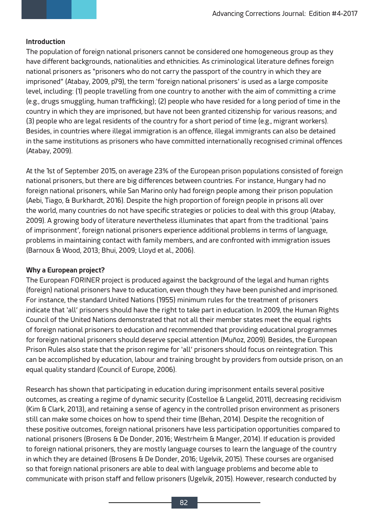## **Introduction**

The population of foreign national prisoners cannot be considered one homogeneous group as they have different backgrounds, nationalities and ethnicities. As criminological literature defines foreign national prisoners as "prisoners who do not carry the passport of the country in which they are imprisoned" (Atabay, 2009, p79), the term 'foreign national prisoners' is used as a large composite level, including: (1) people travelling from one country to another with the aim of committing a crime (e.g., drugs smuggling, human trafficking); (2) people who have resided for a long period of time in the country in which they are imprisoned, but have not been granted citizenship for various reasons; and (3) people who are legal residents of the country for a short period of time (e.g., migrant workers). Besides, in countries where illegal immigration is an offence, illegal immigrants can also be detained in the same institutions as prisoners who have committed internationally recognised criminal offences (Atabay, 2009).

At the 1st of September 2015, on average 23% of the European prison populations consisted of foreign national prisoners, but there are big differences between countries. For instance, Hungary had no foreign national prisoners, while San Marino only had foreign people among their prison population (Aebi, Tiago, & Burkhardt, 2016). Despite the high proportion of foreign people in prisons all over the world, many countries do not have specific strategies or policies to deal with this group (Atabay, 2009). A growing body of literature nevertheless illuminates that apart from the traditional 'pains of imprisonment', foreign national prisoners experience additional problems in terms of language, problems in maintaining contact with family members, and are confronted with immigration issues (Barnoux & Wood, 2013; Bhui, 2009; Lloyd et al., 2006).

## **Why a European project?**

The European FORINER project is produced against the background of the legal and human rights (foreign) national prisoners have to education, even though they have been punished and imprisoned. For instance, the standard United Nations (1955) minimum rules for the treatment of prisoners indicate that 'all' prisoners should have the right to take part in education. In 2009, the Human Rights Council of the United Nations demonstrated that not all their member states meet the equal rights of foreign national prisoners to education and recommended that providing educational programmes for foreign national prisoners should deserve special attention (Muñoz, 2009). Besides, the European Prison Rules also state that the prison regime for 'all' prisoners should focus on reintegration. This can be accomplished by education, labour and training brought by providers from outside prison, on an equal quality standard (Council of Europe, 2006).

Research has shown that participating in education during imprisonment entails several positive outcomes, as creating a regime of dynamic security (Costelloe & Langelid, 2011), decreasing recidivism (Kim & Clark, 2013), and retaining a sense of agency in the controlled prison environment as prisoners still can make some choices on how to spend their time (Behan, 2014). Despite the recognition of these positive outcomes, foreign national prisoners have less participation opportunities compared to national prisoners (Brosens & De Donder, 2016; Westrheim & Manger, 2014). If education is provided to foreign national prisoners, they are mostly language courses to learn the language of the country in which they are detained (Brosens & De Donder, 2016; Ugelvik, 2015). These courses are organised so that foreign national prisoners are able to deal with language problems and become able to communicate with prison staff and fellow prisoners (Ugelvik, 2015). However, research conducted by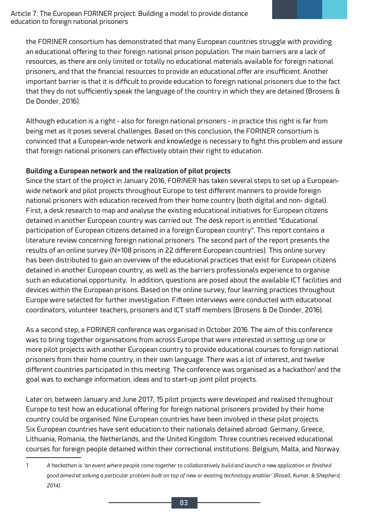the FORINER consortium has demonstrated that many European countries struggle with providing an educational offering to their foreign national prison population. The main barriers are a lack of resources, as there are only limited or totally no educational materials available for foreign national prisoners, and that the financial resources to provide an educational offer are insufficient. Another important barrier is that it is difficult to provide education to foreign national prisoners due to the fact that they do not sufficiently speak the language of the country in which they are detained (Brosens  $\&$ De Donder, 2016).

Although education is a right - also for foreign national prisoners - in practice this right is far from being met as it poses several challenges. Based on this conclusion, the FORINER consortium is convinced that a European-wide network and knowledge is necessary to fight this problem and assure that foreign national prisoners can effectively obtain their right to education.

## Building a European network and the realization of pilot projects

Since the start of the project in January 2016, FORINER has taken several steps to set up a Europeanwide network and pilot projects throughout Europe to test different manners to provide foreign national prisoners with education received from their home country (both digital and non-digital). First, a desk research to map and analyse the existing educational initiatives for European citizens detained in another European country was carried out. The desk report is entitled "Educational participation of European citizens detained in a foreign European country". This report contains a literature review concerning foreign national prisoners. The second part of the report presents the results of an online survey (N=108 prisons in 22 different European countries). This online survey has been distributed to gain an overview of the educational practices that exist for European citizens detained in another European country, as well as the barriers professionals experience to organise such an educational opportunity. In addition, questions are posed about the available ICT facilities and devices within the European prisons. Based on the online survey, four learning practices throughout Europe were selected for further investigation. Fifteen interviews were conducted with educational coordinators, volunteer teachers, prisoners and ICT staff members (Brosens & De Donder, 2016).

As a second step, a FORINER conference was organised in October 2016. The aim of this conference was to bring together organisations from across Europe that were interested in setting up one or more pilot projects with another European country to provide educational courses to foreign national prisoners from their home country, in their own language. There was a lot of interest, and twelve different countries participated in this meeting. The conference was organised as a hackathon<sup>1</sup> and the goal was to exchange information, ideas and to start-up joint pilot projects.

Later on, between January and June 2017, 15 pilot projects were developed and realised throughout Europe to test how an educational offering for foreign national prisoners provided by their home country could be organised. Nine European countries have been involved in these pilot projects. Six European countries have sent education to their nationals detained abroad: Germany, Greece, Lithuania, Romania, the Netherlands, and the United Kingdom. Three countries received educational courses for foreign people detained within their correctional institutions: Belgium, Malta, and Norway.

<sup>1</sup> A hackathon is 'an event where people come together to collaboratively build and launch a new application or finished *good aimed at solving a particular problem built on top of new or existing technology enabler' (Rosell, Kumar, & Shepherd, 2014).*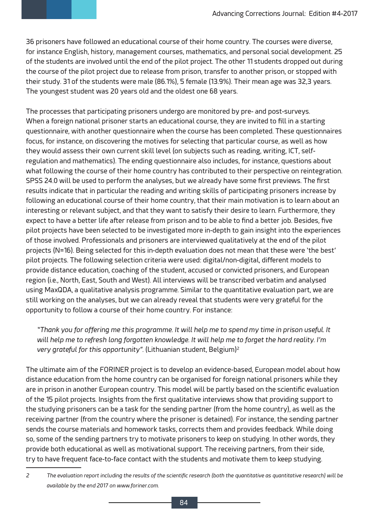36 prisoners have followed an educational course of their home country. The courses were diverse, for instance English, history, management courses, mathematics, and personal social development. 25 of the students are involved until the end of the pilot project. The other 11 students dropped out during the course of the pilot project due to release from prison, transfer to another prison, or stopped with their study. 31 of the students were male (86.1%), 5 female (13.9%). Their mean age was 32,3 years. The youngest student was 20 years old and the oldest one 68 years.

The processes that participating prisoners undergo are monitored by pre- and post-surveys. When a foreign national prisoner starts an educational course, they are invited to fill in a starting questionnaire, with another questionnaire when the course has been completed. These questionnaires focus, for instance, on discovering the motives for selecting that particular course, as well as how they would assess their own current skill level (on subjects such as reading, writing, ICT, selfregulation and mathematics). The ending questionnaire also includes, for instance, questions about what following the course of their home country has contributed to their perspective on reintegration. SPSS 24.0 will be used to perform the analyses, but we already have some first previews. The first results indicate that in particular the reading and writing skills of participating prisoners increase by following an educational course of their home country, that their main motivation is to learn about an interesting or relevant subject, and that they want to satisfy their desire to learn. Furthermore, they expect to have a better life after release from prison and to be able to find a better job. Besides, five pilot projects have been selected to be investigated more in-depth to gain insight into the experiences of those involved. Professionals and prisoners are interviewed qualitatively at the end of the pilot projects (N=16). Being selected for this in-depth evaluation does not mean that these were 'the best' pilot projects. The following selection criteria were used: digital/non-digital, different models to provide distance education, coaching of the student, accused or convicted prisoners, and European region (i.e., North, East, South and West). All interviews will be transcribed verbatim and analysed using MaxQDA, a qualitative analysis programme. Similar to the quantitative evaluation part, we are still working on the analyses, but we can already reveal that students were very grateful for the opportunity to follow a course of their home country. For instance:

*Thank you for offering me this programme. It will help me to spend my time in prison useful. It will help me to refresh long forgotten knowledge. It will help me to forget the hard reality. I'm very grateful for this opportunity".* (Lithuanian student, Belgium)<sup>2</sup>

The ultimate aim of the FORINER project is to develop an evidence-based, European model about how distance education from the home country can be organised for foreign national prisoners while they are in prison in another European country. This model will be partly based on the scientific evaluation of the 15 pilot projects. Insights from the first qualitative interviews show that providing support to the studying prisoners can be a task for the sending partner (from the home country), as well as the receiving partner (from the country where the prisoner is detained). For instance, the sending partner sends the course materials and homework tasks, corrects them and provides feedback. While doing so, some of the sending partners try to motivate prisoners to keep on studying. In other words, they provide both educational as well as motivational support. The receiving partners, from their side, try to have frequent face-to-face contact with the students and motivate them to keep studying.

<sup>2</sup> The evaluation report including the results of the scientific research (both the quantitative as quantitative research) will be *available by the end 2017 on www.foriner.com.*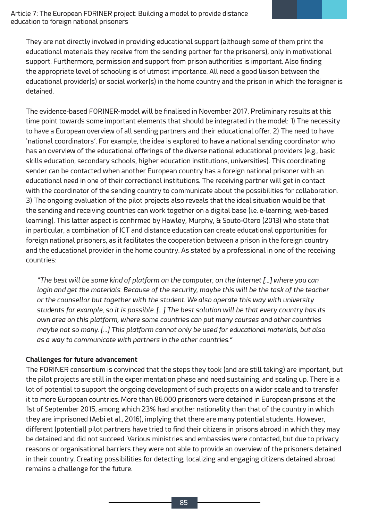Article 7: The European FORINER project: Building a model to provide distance education to foreign national prisoners

They are not directly involved in providing educational support (although some of them print the educational materials they receive from the sending partner for the prisoners), only in motivational support. Furthermore, permission and support from prison authorities is important. Also finding the appropriate level of schooling is of utmost importance. All need a good liaison between the educational provider(s) or social worker(s) in the home country and the prison in which the foreigner is detained.

The evidence-based FORINER-model will be finalised in November 2017. Preliminary results at this time point towards some important elements that should be integrated in the model: 1) The necessity to have a European overview of all sending partners and their educational offer. 2) The need to have 'national coordinators'. For example, the idea is explored to have a national sending coordinator who has an overview of the educational offerings of the diverse national educational providers (e.g., basic skills education, secondary schools, higher education institutions, universities). This coordinating sender can be contacted when another European country has a foreign national prisoner with an educational need in one of their correctional institutions. The receiving partner will get in contact with the coordinator of the sending country to communicate about the possibilities for collaboration. 3) The ongoing evaluation of the pilot projects also reveals that the ideal situation would be that the sending and receiving countries can work together on a digital base (i.e. e-learning, web-based learning). This latter aspect is confirmed by Hawley, Murphy, & Souto-Otero (2013) who state that in particular, a combination of ICT and distance education can create educational opportunities for foreign national prisoners, as it facilitates the cooperation between a prison in the foreign country and the educational provider in the home country. As stated by a professional in one of the receiving countries:

*"The best will be some kind of platform on the computer, on the Internet […] where you can*  login and get the materials. Because of the security, maybe this will be the task of the teacher *or the counsellor but together with the student. We also operate this way with university students for example, so it is possible. […] The best solution will be that every country has its own area on this platform, where some countries can put many courses and other countries maybe not so many. […] This platform cannot only be used for educational materials, but also as a way to communicate with partners in the other countries."* 

#### **Challenges for future advancement**

The FORINER consortium is convinced that the steps they took (and are still taking) are important, but the pilot projects are still in the experimentation phase and need sustaining, and scaling up. There is a lot of potential to support the ongoing development of such projects on a wider scale and to transfer it to more European countries. More than 86.000 prisoners were detained in European prisons at the 1st of September 2015, among which 23% had another nationality than that of the country in which they are imprisoned (Aebi et al., 2016), implying that there are many potential students. However, different (potential) pilot partners have tried to find their citizens in prisons abroad in which they may be detained and did not succeed. Various ministries and embassies were contacted, but due to privacy reasons or organisational barriers they were not able to provide an overview of the prisoners detained in their country. Creating possibilities for detecting, localizing and engaging citizens detained abroad remains a challenge for the future.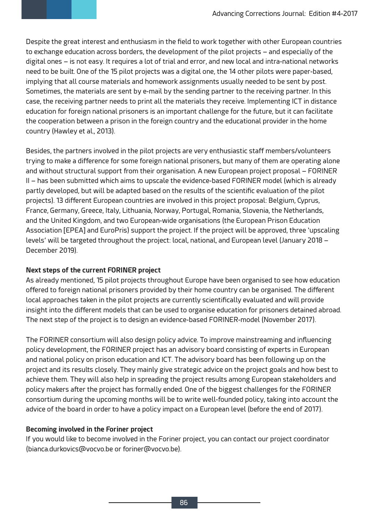Despite the great interest and enthusiasm in the field to work together with other European countries to exchange education across borders, the development of the pilot projects – and especially of the digital ones – is not easy. It requires a lot of trial and error, and new local and intra-national networks need to be built. One of the 15 pilot projects was a digital one, the 14 other pilots were paper-based, implying that all course materials and homework assignments usually needed to be sent by post. Sometimes, the materials are sent by e-mail by the sending partner to the receiving partner. In this case, the receiving partner needs to print all the materials they receive. Implementing ICT in distance education for foreign national prisoners is an important challenge for the future, but it can facilitate the cooperation between a prison in the foreign country and the educational provider in the home country (Hawley et al., 2013).

Besides, the partners involved in the pilot projects are very enthusiastic staff members/volunteers trying to make a difference for some foreign national prisoners, but many of them are operating alone and without structural support from their organisation. A new European project proposal – FORINER II – has been submitted which aims to upscale the evidence-based FORINER model (which is already partly developed, but will be adapted based on the results of the scientific evaluation of the pilot projects). 13 different European countries are involved in this project proposal: Belgium, Cyprus, France, Germany, Greece, Italy, Lithuania, Norway, Portugal, Romania, Slovenia, the Netherlands, and the United Kingdom, and two European-wide organisations (the European Prison Education Association [EPEA] and EuroPris) support the project. If the project will be approved, three 'upscaling levels' will be targeted throughout the project: local, national, and European level (January 2018 – December 2019).

# **Next steps of the current FORINER project**

As already mentioned, 15 pilot projects throughout Europe have been organised to see how education offered to foreign national prisoners provided by their home country can be organised. The different local approaches taken in the pilot projects are currently scientifically evaluated and will provide insight into the different models that can be used to organise education for prisoners detained abroad. The next step of the project is to design an evidence-based FORINER-model (November 2017).

The FORINER consortium will also design policy advice. To improve mainstreaming and influencing policy development, the FORINER project has an advisory board consisting of experts in European and national policy on prison education and ICT. The advisory board has been following up on the project and its results closely. They mainly give strategic advice on the project goals and how best to achieve them. They will also help in spreading the project results among European stakeholders and policy makers after the project has formally ended. One of the biggest challenges for the FORINER consortium during the upcoming months will be to write well-founded policy, taking into account the advice of the board in order to have a policy impact on a European level (before the end of 2017).

## **Becoming involved in the Foriner project**

If you would like to become involved in the Foriner project, you can contact our project coordinator (bianca.durkovics@vocvo.be or foriner@vocvo.be).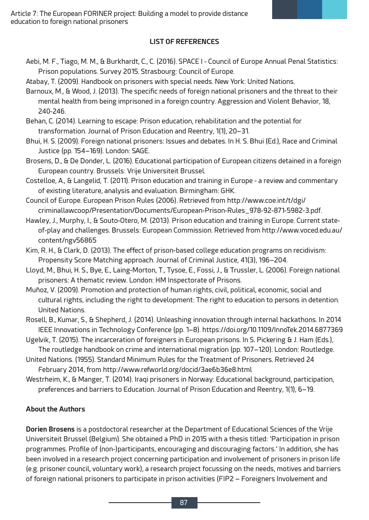## **LIST OF REFERENCES**

Aebi, M. F., Tiago, M. M., & Burkhardt, C., C. (2016). SPACE I - Council of Europe Annual Penal Statistics: Prison populations. Survey 2015. Strasbourg: Council of Europe.

Atabay, T. (2009). Handbook on prisoners with special needs. New York: United Nations.

Barnoux, M., & Wood, J. (2013). The specific needs of foreign national prisoners and the threat to their mental health from being imprisoned in a foreign country. Aggression and Violent Behavior, 18, 240-246.

Behan, C. (2014). Learning to escape: Prison education, rehabilitation and the potential for transformation. Journal of Prison Education and Reentry,  $1(1)$ , 20–31.

Bhui, H. S. (2009). Foreign national prisoners: Issues and debates. In H. S. Bhui (Ed.), Race and Criminal Justice (pp. 154-169). London: SAGE.

Brosens, D., & De Donder, L. (2016). Educational participation of European citizens detained in a foreign European country. Brussels: Vrije Universiteit Brussel.

Costelloe, A., & Langelid, T. (2011). Prison education and training in Europe - a review and commentary of existing literature, analysis and evaluation. Birmingham: GHK.

Council of Europe. European Prison Rules (2006). Retrieved from http://www.coe.int/t/dgi/ criminallawcoop/Presentation/Documents/European-Prison-Rules\_978-92-871-5982-3.pdf.

- Hawley, J., Murphy, I., & Souto-Otero, M. (2013). Prison education and training in Europe. Current stateof-play and challenges. Brussels: European Commission. Retrieved from http://www.voced.edu.au/ content/ngv56865
- Kim, R. H., & Clark, D. (2013). The effect of prison-based college education programs on recidivism: Propensity Score Matching approach. Journal of Criminal Justice, 41(3), 196–204.
- Lloyd, M., Bhui, H. S., Bye, E., Laing-Morton, T., Tysoe, E., Fossi, J., & Trussler, L. (2006). Foreign national prisoners: A thematic review. London: HM Inspectorate of Prisons.
- Muñoz, V. (2009). Promotion and protection of human rights, civil, political, economic, social and cultural rights, including the right to development: The right to education to persons in detention. United Nations.

Rosell, B., Kumar, S., & Shepherd, J. (2014). Unleashing innovation through internal hackathons. In 2014 IEEE Innovations in Technology Conference (pp. 1-8). https://doi.org/10.1109/InnoTek.2014.6877369

Ugelvik, T. (2015). The incarceration of foreigners in European prisons. In S. Pickering & J. Ham (Eds.), The routledge handbook on crime and international migration (pp. 107–120). London: Routledge.

- United Nations. (1955). Standard Minimum Rules for the Treatment of Prisoners. Retrieved 24 February 2014, from http://www.refworld.org/docid/3ae6b36e8.html
- Westrheim, K., & Manger, T. (2014). Iraqi prisoners in Norway: Educational background, participation, preferences and barriers to Education. Journal of Prison Education and Reentry, 1(1), 6-19.

# **About the Authors**

**Dorien Brosens** is a postdoctoral researcher at the Department of Educational Sciences of the Vrije Universiteit Brussel (Belgium). She obtained a PhD in 2015 with a thesis titled: 'Participation in prison programmes. Profile of (non-)participants, encouraging and discouraging factors.' In addition, she has been involved in a research project concerning participation and involvement of prisoners in prison life (e.g. prisoner council, voluntary work), a research project focussing on the needs, motives and barriers of foreign national prisoners to participate in prison activities (FIP2 – Foreigners Involvement and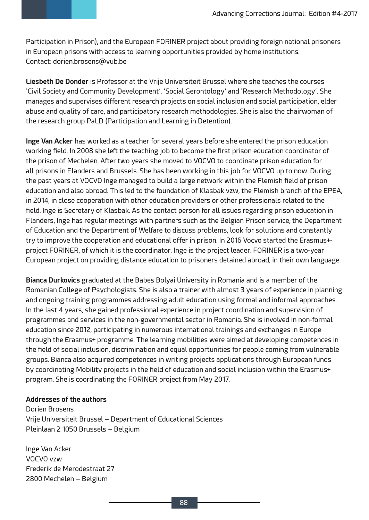Participation in Prison), and the European FORINER project about providing foreign national prisoners in European prisons with access to learning opportunities provided by home institutions. Contact: dorien.brosens@vub.be

Liesbeth De Donder is Professor at the Vrije Universiteit Brussel where she teaches the courses 'Civil Society and Community Development', 'Social Gerontology' and 'Research Methodology'. She manages and supervises different research projects on social inclusion and social participation, elder abuse and quality of care, and participatory research methodologies. She is also the chairwoman of the research group PaLD (Participation and Learning in Detention).

Inge Van Acker has worked as a teacher for several years before she entered the prison education working field. In 2008 she left the teaching job to become the first prison education coordinator of the prison of Mechelen. After two years she moved to VOCVO to coordinate prison education for all prisons in Flanders and Brussels. She has been working in this job for VOCVO up to now. During the past years at VOCVO Inge managed to build a large network within the Flemish field of prison education and also abroad. This led to the foundation of Klasbak vzw, the Flemish branch of the EPEA, in 2014, in close cooperation with other education providers or other professionals related to the field. Inge is Secretary of Klasbak. As the contact person for all issues regarding prison education in Flanders, Inge has regular meetings with partners such as the Belgian Prison service, the Department of Education and the Department of Welfare to discuss problems, look for solutions and constantly try to improve the cooperation and educational offer in prison. In 2016 Vocvo started the Erasmus+project FORINER, of which it is the coordinator. Inge is the project leader. FORINER is a two-year European project on providing distance education to prisoners detained abroad, in their own language.

**Bianca Durkovics** graduated at the Babes Bolyai University in Romania and is a member of the Romanian College of Psychologists. She is also a trainer with almost 3 years of experience in planning and ongoing training programmes addressing adult education using formal and informal approaches. In the last 4 years, she gained professional experience in project coordination and supervision of programmes and services in the non-governmental sector in Romania. She is involved in non-formal education since 2012, participating in numerous international trainings and exchanges in Europe through the Erasmus+ programme. The learning mobilities were aimed at developing competences in the field of social inclusion, discrimination and equal opportunities for people coming from vulnerable groups. Bianca also acquired competences in writing projects applications through European funds by coordinating Mobility projects in the field of education and social inclusion within the Erasmus+ program. She is coordinating the FORINER project from May 2017.

#### **Addresses of the authors**

Dorien Brosens Vrije Universiteit Brussel – Department of Educational Sciences Pleinlaan 2 1050 Brussels – Belgium

Inge Van Acker VOCVO vzw Frederik de Merodestraat 27 2800 Mechelen – Belgium